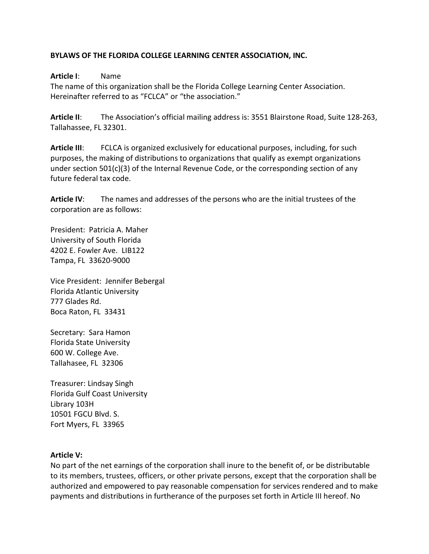### **BYLAWS OF THE FLORIDA COLLEGE LEARNING CENTER ASSOCIATION, INC.**

#### **Article I**: Name

The name of this organization shall be the Florida College Learning Center Association. Hereinafter referred to as "FCLCA" or "the association."

**Article II**: The Association's official mailing address is: 3551 Blairstone Road, Suite 128-263, Tallahassee, FL 32301.

**Article III**: FCLCA is organized exclusively for educational purposes, including, for such purposes, the making of distributions to organizations that qualify as exempt organizations under section 501(c)(3) of the Internal Revenue Code, or the corresponding section of any future federal tax code.

**Article IV**: The names and addresses of the persons who are the initial trustees of the corporation are as follows:

President: Patricia A. Maher University of South Florida 4202 E. Fowler Ave. LIB122 Tampa, FL 33620-9000

Vice President: Jennifer Bebergal Florida Atlantic University 777 Glades Rd. Boca Raton, FL 33431

Secretary: Sara Hamon Florida State University 600 W. College Ave. Tallahasee, FL 32306

Treasurer: Lindsay Singh Florida Gulf Coast University Library 103H 10501 FGCU Blvd. S. Fort Myers, FL 33965

#### **Article V:**

No part of the net earnings of the corporation shall inure to the benefit of, or be distributable to its members, trustees, officers, or other private persons, except that the corporation shall be authorized and empowered to pay reasonable compensation for services rendered and to make payments and distributions in furtherance of the purposes set forth in Article III hereof. No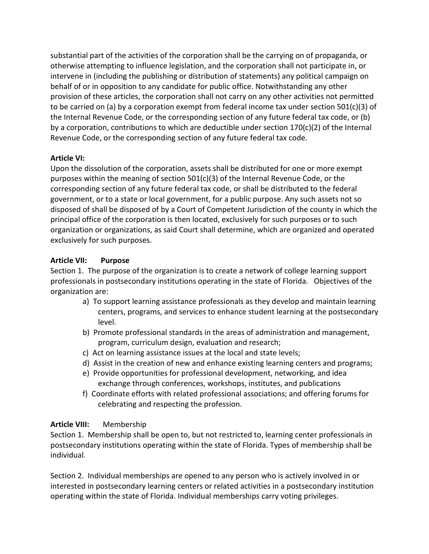substantial part of the activities of the corporation shall be the carrying on of propaganda, or otherwise attempting to influence legislation, and the corporation shall not participate in, or intervene in (including the publishing or distribution of statements) any political campaign on behalf of or in opposition to any candidate for public office. Notwithstanding any other provision of these articles, the corporation shall not carry on any other activities not permitted to be carried on (a) by a corporation exempt from federal income tax under section  $501(c)(3)$  of the Internal Revenue Code, or the corresponding section of any future federal tax code, or (b) by a corporation, contributions to which are deductible under section  $170(c)(2)$  of the Internal Revenue Code, or the corresponding section of any future federal tax code.

## **Article VI:**

Upon the dissolution of the corporation, assets shall be distributed for one or more exempt purposes within the meaning of section 501(c)(3) of the Internal Revenue Code, or the corresponding section of any future federal tax code, or shall be distributed to the federal government, or to a state or local government, for a public purpose. Any such assets not so disposed of shall be disposed of by a Court of Competent Jurisdiction of the county in which the principal office of the corporation is then located, exclusively for such purposes or to such organization or organizations, as said Court shall determine, which are organized and operated exclusively for such purposes.

# **Article VII: Purpose**

Section 1. The purpose of the organization is to create a network of college learning support professionals in postsecondary institutions operating in the state of Florida. Objectives of the organization are:

- a) To support learning assistance professionals as they develop and maintain learning centers, programs, and services to enhance student learning at the postsecondary level.
- b) Promote professional standards in the areas of administration and management, program, curriculum design, evaluation and research;
- c) Act on learning assistance issues at the local and state levels;
- d) Assist in the creation of new and enhance existing learning centers and programs;
- e) Provide opportunities for professional development, networking, and idea exchange through conferences, workshops, institutes, and publications
- f) Coordinate efforts with related professional associations; and offering forums for celebrating and respecting the profession.

# **Article VIII:** Membership

Section 1. Membership shall be open to, but not restricted to, learning center professionals in postsecondary institutions operating within the state of Florida. Types of membership shall be individual*.*

Section 2. Individual memberships are opened to any person who is actively involved in or interested in postsecondary learning centers or related activities in a postsecondary institution operating within the state of Florida. Individual memberships carry voting privileges.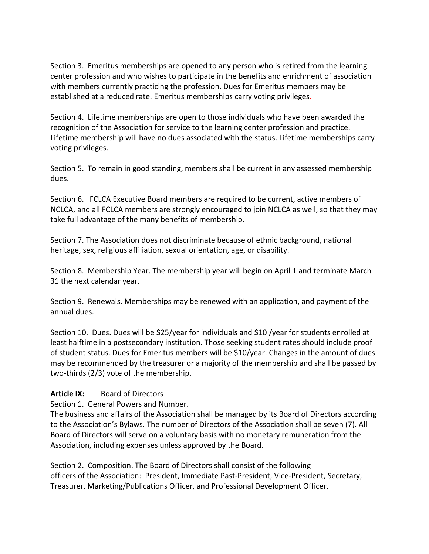Section 3. Emeritus memberships are opened to any person who is retired from the learning center profession and who wishes to participate in the benefits and enrichment of association with members currently practicing the profession. Dues for Emeritus members may be established at a reduced rate. Emeritus memberships carry voting privileges.

Section 4. Lifetime memberships are open to those individuals who have been awarded the recognition of the Association for service to the learning center profession and practice. Lifetime membership will have no dues associated with the status. Lifetime memberships carry voting privileges.

Section 5. To remain in good standing, members shall be current in any assessed membership dues.

Section 6. FCLCA Executive Board members are required to be current, active members of NCLCA, and all FCLCA members are strongly encouraged to join NCLCA as well, so that they may take full advantage of the many benefits of membership.

Section 7. The Association does not discriminate because of ethnic background, national heritage, sex, religious affiliation, sexual orientation, age, or disability.

Section 8. Membership Year. The membership year will begin on April 1 and terminate March 31 the next calendar year.

Section 9. Renewals. Memberships may be renewed with an application, and payment of the annual dues.

Section 10. Dues. Dues will be \$25/year for individuals and \$10 /year for students enrolled at least halftime in a postsecondary institution. Those seeking student rates should include proof of student status. Dues for Emeritus members will be \$10/year. Changes in the amount of dues may be recommended by the treasurer or a majority of the membership and shall be passed by two-thirds (2/3) vote of the membership.

## Article IX: Board of Directors

Section 1. General Powers and Number.

The business and affairs of the Association shall be managed by its Board of Directors according to the Association's Bylaws. The number of Directors of the Association shall be seven (7). All Board of Directors will serve on a voluntary basis with no monetary remuneration from the Association, including expenses unless approved by the Board.

Section 2. Composition. The Board of Directors shall consist of the following officers of the Association: President, Immediate Past-President, Vice-President, Secretary, Treasurer, Marketing/Publications Officer, and Professional Development Officer.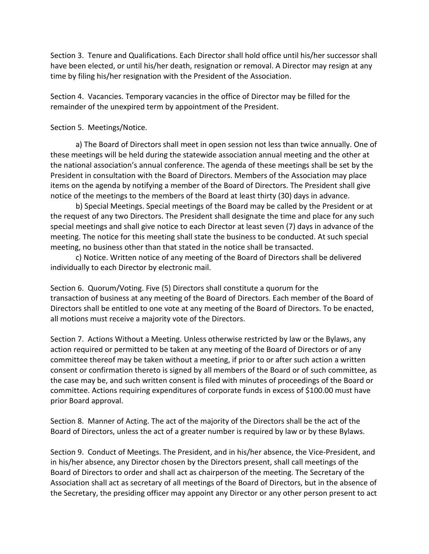Section 3. Tenure and Qualifications. Each Director shall hold office until his/her successor shall have been elected, or until his/her death, resignation or removal. A Director may resign at any time by filing his/her resignation with the President of the Association.

Section 4. Vacancies. Temporary vacancies in the office of Director may be filled for the remainder of the unexpired term by appointment of the President.

Section 5. Meetings/Notice.

a) The Board of Directors shall meet in open session not less than twice annually. One of these meetings will be held during the statewide association annual meeting and the other at the national association's annual conference. The agenda of these meetings shall be set by the President in consultation with the Board of Directors. Members of the Association may place items on the agenda by notifying a member of the Board of Directors. The President shall give notice of the meetings to the members of the Board at least thirty (30) days in advance.

b) Special Meetings. Special meetings of the Board may be called by the President or at the request of any two Directors. The President shall designate the time and place for any such special meetings and shall give notice to each Director at least seven (7) days in advance of the meeting. The notice for this meeting shall state the business to be conducted. At such special meeting, no business other than that stated in the notice shall be transacted.

c) Notice. Written notice of any meeting of the Board of Directors shall be delivered individually to each Director by electronic mail.

Section 6. Quorum/Voting. Five (5) Directors shall constitute a quorum for the transaction of business at any meeting of the Board of Directors. Each member of the Board of Directors shall be entitled to one vote at any meeting of the Board of Directors. To be enacted, all motions must receive a majority vote of the Directors.

Section 7. Actions Without a Meeting. Unless otherwise restricted by law or the Bylaws, any action required or permitted to be taken at any meeting of the Board of Directors or of any committee thereof may be taken without a meeting, if prior to or after such action a written consent or confirmation thereto is signed by all members of the Board or of such committee, as the case may be, and such written consent is filed with minutes of proceedings of the Board or committee. Actions requiring expenditures of corporate funds in excess of \$100.00 must have prior Board approval.

Section 8. Manner of Acting. The act of the majority of the Directors shall be the act of the Board of Directors, unless the act of a greater number is required by law or by these Bylaws.

Section 9. Conduct of Meetings. The President, and in his/her absence, the Vice-President, and in his/her absence, any Director chosen by the Directors present, shall call meetings of the Board of Directors to order and shall act as chairperson of the meeting. The Secretary of the Association shall act as secretary of all meetings of the Board of Directors, but in the absence of the Secretary, the presiding officer may appoint any Director or any other person present to act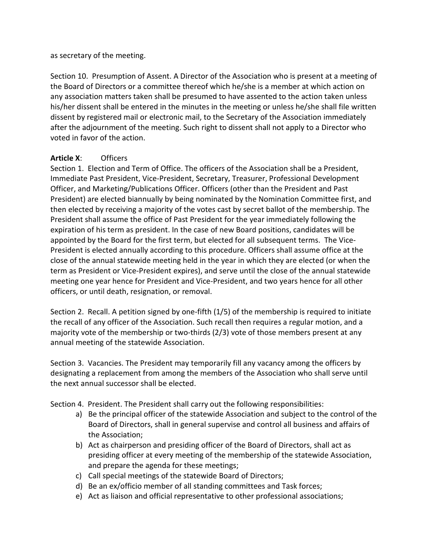#### as secretary of the meeting.

Section 10. Presumption of Assent. A Director of the Association who is present at a meeting of the Board of Directors or a committee thereof which he/she is a member at which action on any association matters taken shall be presumed to have assented to the action taken unless his/her dissent shall be entered in the minutes in the meeting or unless he/she shall file written dissent by registered mail or electronic mail, to the Secretary of the Association immediately after the adjournment of the meeting. Such right to dissent shall not apply to a Director who voted in favor of the action.

## **Article X**: Officers

Section 1. Election and Term of Office. The officers of the Association shall be a President, Immediate Past President, Vice-President, Secretary, Treasurer, Professional Development Officer, and Marketing/Publications Officer. Officers (other than the President and Past President) are elected biannually by being nominated by the Nomination Committee first, and then elected by receiving a majority of the votes cast by secret ballot of the membership. The President shall assume the office of Past President for the year immediately following the expiration of his term as president. In the case of new Board positions, candidates will be appointed by the Board for the first term, but elected for all subsequent terms. The Vice-President is elected annually according to this procedure. Officers shall assume office at the close of the annual statewide meeting held in the year in which they are elected (or when the term as President or Vice-President expires), and serve until the close of the annual statewide meeting one year hence for President and Vice-President, and two years hence for all other officers, or until death, resignation, or removal.

Section 2. Recall. A petition signed by one-fifth (1/5) of the membership is required to initiate the recall of any officer of the Association. Such recall then requires a regular motion, and a majority vote of the membership or two-thirds (2/3) vote of those members present at any annual meeting of the statewide Association.

Section 3. Vacancies. The President may temporarily fill any vacancy among the officers by designating a replacement from among the members of the Association who shall serve until the next annual successor shall be elected.

Section 4. President. The President shall carry out the following responsibilities:

- a) Be the principal officer of the statewide Association and subject to the control of the Board of Directors, shall in general supervise and control all business and affairs of the Association;
- b) Act as chairperson and presiding officer of the Board of Directors, shall act as presiding officer at every meeting of the membership of the statewide Association, and prepare the agenda for these meetings;
- c) Call special meetings of the statewide Board of Directors;
- d) Be an ex/officio member of all standing committees and Task forces;
- e) Act as liaison and official representative to other professional associations;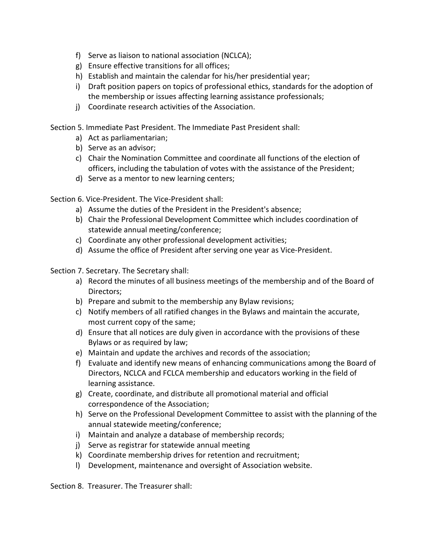- f) Serve as liaison to national association (NCLCA);
- g) Ensure effective transitions for all offices;
- h) Establish and maintain the calendar for his/her presidential year;
- i) Draft position papers on topics of professional ethics, standards for the adoption of the membership or issues affecting learning assistance professionals;
- j) Coordinate research activities of the Association.

Section 5. Immediate Past President. The Immediate Past President shall:

- a) Act as parliamentarian;
- b) Serve as an advisor;
- c) Chair the Nomination Committee and coordinate all functions of the election of officers, including the tabulation of votes with the assistance of the President;
- d) Serve as a mentor to new learning centers;

Section 6. Vice-President. The Vice-President shall:

- a) Assume the duties of the President in the President's absence;
- b) Chair the Professional Development Committee which includes coordination of statewide annual meeting/conference;
- c) Coordinate any other professional development activities;
- d) Assume the office of President after serving one year as Vice-President.

Section 7. Secretary. The Secretary shall:

- a) Record the minutes of all business meetings of the membership and of the Board of Directors;
- b) Prepare and submit to the membership any Bylaw revisions;
- c) Notify members of all ratified changes in the Bylaws and maintain the accurate, most current copy of the same;
- d) Ensure that all notices are duly given in accordance with the provisions of these Bylaws or as required by law;
- e) Maintain and update the archives and records of the association;
- f) Evaluate and identify new means of enhancing communications among the Board of Directors, NCLCA and FCLCA membership and educators working in the field of learning assistance.
- g) Create, coordinate, and distribute all promotional material and official correspondence of the Association;
- h) Serve on the Professional Development Committee to assist with the planning of the annual statewide meeting/conference;
- i) Maintain and analyze a database of membership records;
- j) Serve as registrar for statewide annual meeting
- k) Coordinate membership drives for retention and recruitment;
- l) Development, maintenance and oversight of Association website.

Section 8. Treasurer. The Treasurer shall: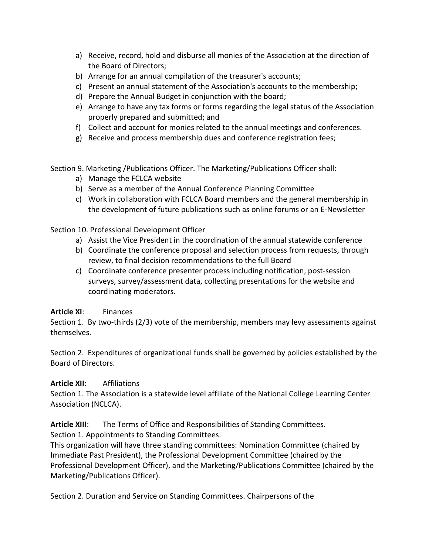- a) Receive, record, hold and disburse all monies of the Association at the direction of the Board of Directors;
- b) Arrange for an annual compilation of the treasurer's accounts;
- c) Present an annual statement of the Association's accounts to the membership;
- d) Prepare the Annual Budget in conjunction with the board;
- e) Arrange to have any tax forms or forms regarding the legal status of the Association properly prepared and submitted; and
- f) Collect and account for monies related to the annual meetings and conferences.
- g) Receive and process membership dues and conference registration fees;

Section 9. Marketing /Publications Officer. The Marketing/Publications Officer shall:

- a) Manage the FCLCA website
- b) Serve as a member of the Annual Conference Planning Committee
- c) Work in collaboration with FCLCA Board members and the general membership in the development of future publications such as online forums or an E-Newsletter

Section 10. Professional Development Officer

- a) Assist the Vice President in the coordination of the annual statewide conference
- b) Coordinate the conference proposal and selection process from requests, through review, to final decision recommendations to the full Board
- c) Coordinate conference presenter process including notification, post-session surveys, survey/assessment data, collecting presentations for the website and coordinating moderators.

## **Article XI**: Finances

Section 1. By two-thirds (2/3) vote of the membership, members may levy assessments against themselves.

Section 2. Expenditures of organizational funds shall be governed by policies established by the Board of Directors.

## **Article XII**: Affiliations

Section 1. The Association is a statewide level affiliate of the National College Learning Center Association (NCLCA).

**Article XIII**: The Terms of Office and Responsibilities of Standing Committees. Section 1. Appointments to Standing Committees.

This organization will have three standing committees: Nomination Committee (chaired by Immediate Past President), the Professional Development Committee (chaired by the Professional Development Officer), and the Marketing/Publications Committee (chaired by the Marketing/Publications Officer).

Section 2. Duration and Service on Standing Committees. Chairpersons of the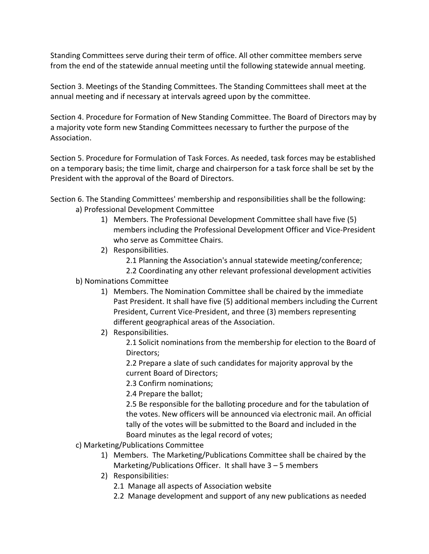Standing Committees serve during their term of office. All other committee members serve from the end of the statewide annual meeting until the following statewide annual meeting.

Section 3. Meetings of the Standing Committees. The Standing Committees shall meet at the annual meeting and if necessary at intervals agreed upon by the committee.

Section 4. Procedure for Formation of New Standing Committee. The Board of Directors may by a majority vote form new Standing Committees necessary to further the purpose of the Association.

Section 5. Procedure for Formulation of Task Forces. As needed, task forces may be established on a temporary basis; the time limit, charge and chairperson for a task force shall be set by the President with the approval of the Board of Directors.

- Section 6. The Standing Committees' membership and responsibilities shall be the following: a) Professional Development Committee
	- 1) Members. The Professional Development Committee shall have five (5) members including the Professional Development Officer and Vice-President who serve as Committee Chairs.
	- 2) Responsibilities.

2.1 Planning the Association's annual statewide meeting/conference;

- 2.2 Coordinating any other relevant professional development activities b) Nominations Committee
	- 1) Members. The Nomination Committee shall be chaired by the immediate Past President. It shall have five (5) additional members including the Current President, Current Vice-President, and three (3) members representing different geographical areas of the Association.
	- 2) Responsibilities.

2.1 Solicit nominations from the membership for election to the Board of Directors;

2.2 Prepare a slate of such candidates for majority approval by the current Board of Directors;

- 2.3 Confirm nominations;
- 2.4 Prepare the ballot;

2.5 Be responsible for the balloting procedure and for the tabulation of the votes. New officers will be announced via electronic mail. An official tally of the votes will be submitted to the Board and included in the Board minutes as the legal record of votes;

- c) Marketing/Publications Committee
	- 1) Members. The Marketing/Publications Committee shall be chaired by the Marketing/Publications Officer. It shall have 3 – 5 members
	- 2) Responsibilities:
		- 2.1 Manage all aspects of Association website
		- 2.2 Manage development and support of any new publications as needed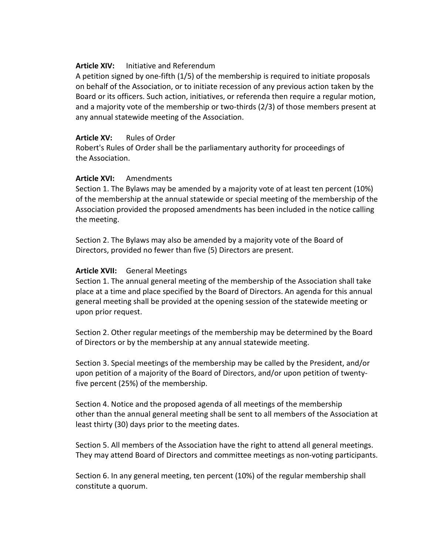### **Article XIV:** Initiative and Referendum

A petition signed by one-fifth (1/5) of the membership is required to initiate proposals on behalf of the Association, or to initiate recession of any previous action taken by the Board or its officers. Such action, initiatives, or referenda then require a regular motion, and a majority vote of the membership or two-thirds (2/3) of those members present at any annual statewide meeting of the Association.

## Article XV: Rules of Order

Robert's Rules of Order shall be the parliamentary authority for proceedings of the Association.

### **Article XVI:** Amendments

Section 1. The Bylaws may be amended by a majority vote of at least ten percent (10%) of the membership at the annual statewide or special meeting of the membership of the Association provided the proposed amendments has been included in the notice calling the meeting.

Section 2. The Bylaws may also be amended by a majority vote of the Board of Directors, provided no fewer than five (5) Directors are present.

### **Article XVII:** General Meetings

Section 1. The annual general meeting of the membership of the Association shall take place at a time and place specified by the Board of Directors. An agenda for this annual general meeting shall be provided at the opening session of the statewide meeting or upon prior request.

Section 2. Other regular meetings of the membership may be determined by the Board of Directors or by the membership at any annual statewide meeting.

Section 3. Special meetings of the membership may be called by the President, and/or upon petition of a majority of the Board of Directors, and/or upon petition of twentyfive percent (25%) of the membership.

Section 4. Notice and the proposed agenda of all meetings of the membership other than the annual general meeting shall be sent to all members of the Association at least thirty (30) days prior to the meeting dates.

Section 5. All members of the Association have the right to attend all general meetings. They may attend Board of Directors and committee meetings as non-voting participants.

Section 6. In any general meeting, ten percent (10%) of the regular membership shall constitute a quorum.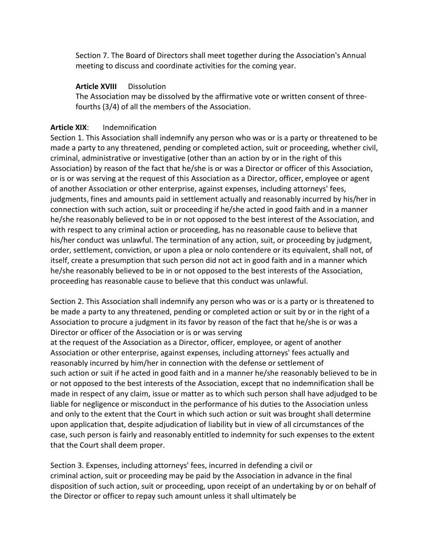Section 7. The Board of Directors shall meet together during the Association's Annual meeting to discuss and coordinate activities for the coming year.

## **Article XVIII** Dissolution

The Association may be dissolved by the affirmative vote or written consent of threefourths (3/4) of all the members of the Association.

## **Article XIX**: Indemnification

Section 1. This Association shall indemnify any person who was or is a party or threatened to be made a party to any threatened, pending or completed action, suit or proceeding, whether civil, criminal, administrative or investigative (other than an action by or in the right of this Association) by reason of the fact that he/she is or was a Director or officer of this Association, or is or was serving at the request of this Association as a Director, officer, employee or agent of another Association or other enterprise, against expenses, including attorneys' fees, judgments, fines and amounts paid in settlement actually and reasonably incurred by his/her in connection with such action, suit or proceeding if he/she acted in good faith and in a manner he/she reasonably believed to be in or not opposed to the best interest of the Association, and with respect to any criminal action or proceeding, has no reasonable cause to believe that his/her conduct was unlawful. The termination of any action, suit, or proceeding by judgment, order, settlement, conviction, or upon a plea or nolo contendere or its equivalent, shall not, of itself, create a presumption that such person did not act in good faith and in a manner which he/she reasonably believed to be in or not opposed to the best interests of the Association, proceeding has reasonable cause to believe that this conduct was unlawful.

Section 2. This Association shall indemnify any person who was or is a party or is threatened to be made a party to any threatened, pending or completed action or suit by or in the right of a Association to procure a judgment in its favor by reason of the fact that he/she is or was a Director or officer of the Association or is or was serving

at the request of the Association as a Director, officer, employee, or agent of another Association or other enterprise, against expenses, including attorneys' fees actually and reasonably incurred by him/her in connection with the defense or settlement of such action or suit if he acted in good faith and in a manner he/she reasonably believed to be in or not opposed to the best interests of the Association, except that no indemnification shall be made in respect of any claim, issue or matter as to which such person shall have adjudged to be liable for negligence or misconduct in the performance of his duties to the Association unless and only to the extent that the Court in which such action or suit was brought shall determine upon application that, despite adjudication of liability but in view of all circumstances of the case, such person is fairly and reasonably entitled to indemnity for such expenses to the extent that the Court shall deem proper.

Section 3. Expenses, including attorneys' fees, incurred in defending a civil or criminal action, suit or proceeding may be paid by the Association in advance in the final disposition of such action, suit or proceeding, upon receipt of an undertaking by or on behalf of the Director or officer to repay such amount unless it shall ultimately be